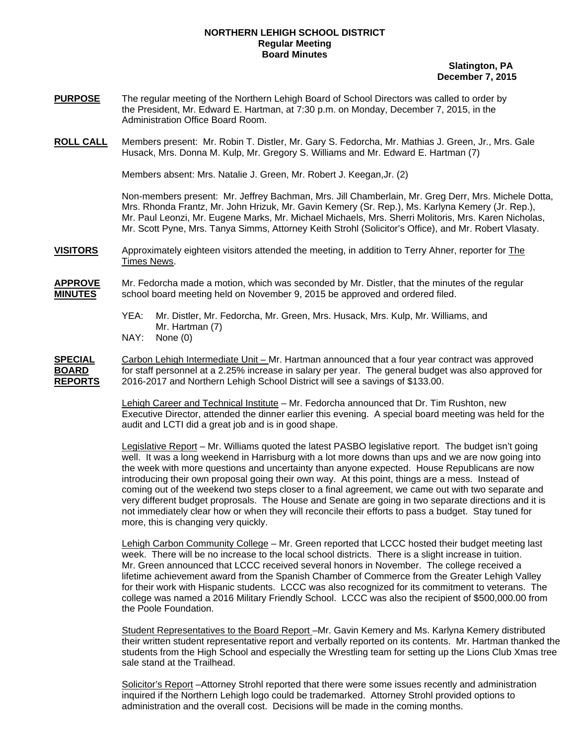## **NORTHERN LEHIGH SCHOOL DISTRICT Regular Meeting Board Minutes**

 **Slatington, PA December 7, 2015** 

- **PURPOSE** The regular meeting of the Northern Lehigh Board of School Directors was called to order by the President, Mr. Edward E. Hartman, at 7:30 p.m. on Monday, December 7, 2015, in the Administration Office Board Room.
- **ROLL CALL** Members present: Mr. Robin T. Distler, Mr. Gary S. Fedorcha, Mr. Mathias J. Green, Jr., Mrs. Gale Husack, Mrs. Donna M. Kulp, Mr. Gregory S. Williams and Mr. Edward E. Hartman (7)

Members absent: Mrs. Natalie J. Green, Mr. Robert J. Keegan,Jr. (2)

Non-members present: Mr. Jeffrey Bachman, Mrs. Jill Chamberlain, Mr. Greg Derr, Mrs. Michele Dotta, Mrs. Rhonda Frantz, Mr. John Hrizuk, Mr. Gavin Kemery (Sr. Rep.), Ms. Karlyna Kemery (Jr. Rep.), Mr. Paul Leonzi, Mr. Eugene Marks, Mr. Michael Michaels, Mrs. Sherri Molitoris, Mrs. Karen Nicholas, Mr. Scott Pyne, Mrs. Tanya Simms, Attorney Keith Strohl (Solicitor's Office), and Mr. Robert Vlasaty.

- **VISITORS** Approximately eighteen visitors attended the meeting, in addition to Terry Ahner, reporter for The Times News.
- **APPROVE** Mr. Fedorcha made a motion, which was seconded by Mr. Distler, that the minutes of the regular school board meeting held on November 9, 2015 be approved and ordered filed.
	- YEA: Mr. Distler, Mr. Fedorcha, Mr. Green, Mrs. Husack, Mrs. Kulp, Mr. Williams, and Mr. Hartman (7)
	- NAY: None (0)

**SPECIAL** Carbon Lehigh Intermediate Unit – Mr. Hartman announced that a four year contract was approved **BOARD** for staff personnel at a 2.25% increase in salary per year. The general budget was also approved for **REPORTS** 2016-2017 and Northern Lehigh School District will see a savings of \$133.00.

> Lehigh Career and Technical Institute – Mr. Fedorcha announced that Dr. Tim Rushton, new Executive Director, attended the dinner earlier this evening. A special board meeting was held for the audit and LCTI did a great job and is in good shape.

> Legislative Report – Mr. Williams quoted the latest PASBO legislative report. The budget isn't going well. It was a long weekend in Harrisburg with a lot more downs than ups and we are now going into the week with more questions and uncertainty than anyone expected. House Republicans are now introducing their own proposal going their own way. At this point, things are a mess. Instead of coming out of the weekend two steps closer to a final agreement, we came out with two separate and very different budget proprosals. The House and Senate are going in two separate directions and it is not immediately clear how or when they will reconcile their efforts to pass a budget. Stay tuned for more, this is changing very quickly.

> Lehigh Carbon Community College – Mr. Green reported that LCCC hosted their budget meeting last week. There will be no increase to the local school districts. There is a slight increase in tuition. Mr. Green announced that LCCC received several honors in November. The college received a lifetime achievement award from the Spanish Chamber of Commerce from the Greater Lehigh Valley for their work with Hispanic students. LCCC was also recognized for its commitment to veterans. The college was named a 2016 Military Friendly School. LCCC was also the recipient of \$500,000.00 from the Poole Foundation.

Student Representatives to the Board Report -Mr. Gavin Kemery and Ms. Karlyna Kemery distributed their written student representative report and verbally reported on its contents. Mr. Hartman thanked the students from the High School and especially the Wrestling team for setting up the Lions Club Xmas tree sale stand at the Trailhead.

Solicitor's Report –Attorney Strohl reported that there were some issues recently and administration inquired if the Northern Lehigh logo could be trademarked. Attorney Strohl provided options to administration and the overall cost. Decisions will be made in the coming months.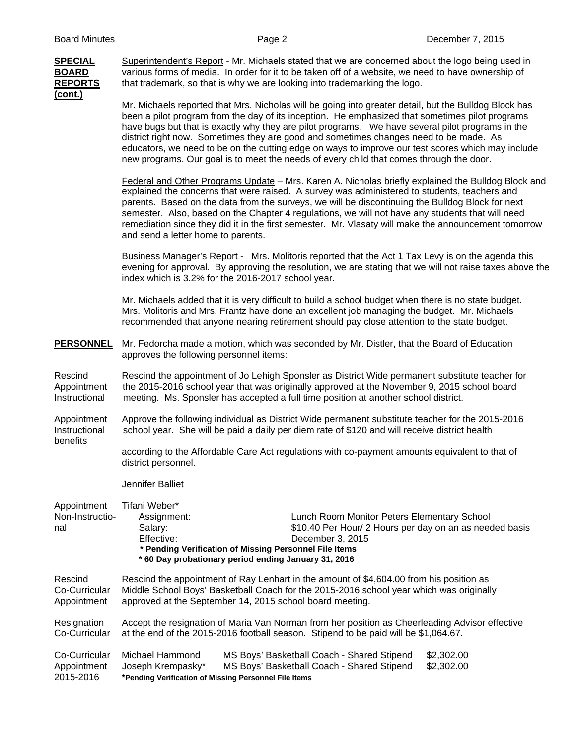# **(cont.)**

**SPECIAL** Superintendent's Report - Mr. Michaels stated that we are concerned about the logo being used in **BOARD** various forms of media. In order for it to be taken off of a website, we need to have ownership of **REPORTS** that trademark, so that is why we are looking into trademarking the logo.

> Mr. Michaels reported that Mrs. Nicholas will be going into greater detail, but the Bulldog Block has been a pilot program from the day of its inception. He emphasized that sometimes pilot programs have bugs but that is exactly why they are pilot programs. We have several pilot programs in the district right now. Sometimes they are good and sometimes changes need to be made. As educators, we need to be on the cutting edge on ways to improve our test scores which may include new programs. Our goal is to meet the needs of every child that comes through the door.

 Federal and Other Programs Update – Mrs. Karen A. Nicholas briefly explained the Bulldog Block and explained the concerns that were raised. A survey was administered to students, teachers and parents. Based on the data from the surveys, we will be discontinuing the Bulldog Block for next semester. Also, based on the Chapter 4 regulations, we will not have any students that will need remediation since they did it in the first semester. Mr. Vlasaty will make the announcement tomorrow and send a letter home to parents.

Business Manager's Report - Mrs. Molitoris reported that the Act 1 Tax Levy is on the agenda this evening for approval. By approving the resolution, we are stating that we will not raise taxes above the index which is 3.2% for the 2016-2017 school year.

Mr. Michaels added that it is very difficult to build a school budget when there is no state budget. Mrs. Molitoris and Mrs. Frantz have done an excellent job managing the budget. Mr. Michaels recommended that anyone nearing retirement should pay close attention to the state budget.

**PERSONNEL** Mr. Fedorcha made a motion, which was seconded by Mr. Distler, that the Board of Education approves the following personnel items:

Rescind Rescind the appointment of Jo Lehigh Sponsler as District Wide permanent substitute teacher for Appointment the 2015-2016 school year that was originally approved at the November 9, 2015 school board Instructional Theoring. Ms. Sponsler has accepted a full time position at another school district. meeting. Ms. Sponsler has accepted a full time position at another school district.

- Appointment Approve the following individual as District Wide permanent substitute teacher for the 2015-2016 Instructional school year. She will be paid a daily per diem rate of \$120 and will receive district health benefits
	- according to the Affordable Care Act regulations with co-payment amounts equivalent to that of district personnel.

Jennifer Balliet

Appointment Tifani Weber\*

Non-Instructio- Assignment: Lunch Room Monitor Peters Elementary School nal Salary: 510.40 Per Hour/ 2 Hours per day on an as needed basis Effective: December 3, 2015  **\* Pending Verification of Missing Personnel File Items \* 60 Day probationary period ending January 31, 2016** 

Rescind Rescind the appointment of Ray Lenhart in the amount of \$4,604.00 from his position as Co-Curricular Middle School Boys' Basketball Coach for the 2015-2016 school year which was originally Appointment approved at the September 14, 2015 school board meeting.

Resignation Accept the resignation of Maria Van Norman from her position as Cheerleading Advisor effective Co-Curricular at the end of the 2015-2016 football season. Stipend to be paid will be \$1,064.67.

|             | Co-Curricular Michael Hammond                         | MS Boys' Basketball Coach - Shared Stipend | \$2.302.00 |
|-------------|-------------------------------------------------------|--------------------------------------------|------------|
| Appointment | Joseph Krempasky*                                     | MS Boys' Basketball Coach - Shared Stipend | \$2.302.00 |
| 2015-2016   | *Pending Verification of Missing Personnel File Items |                                            |            |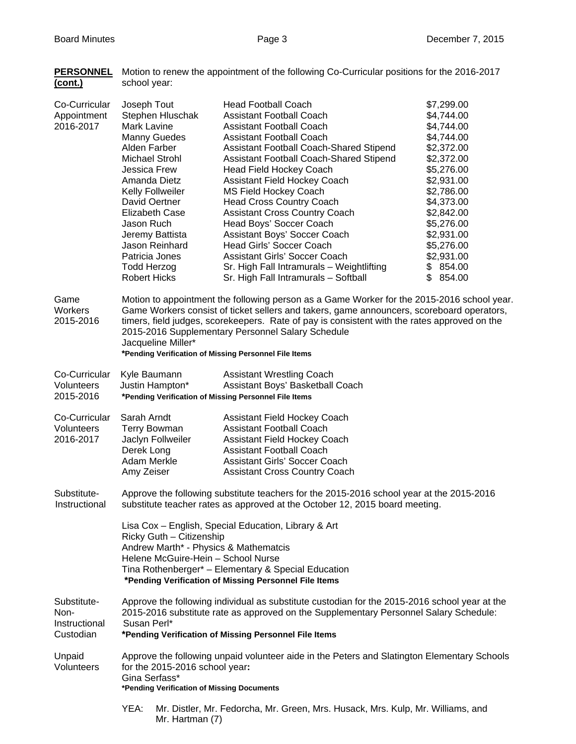**PERSONNEL** Motion to renew the appointment of the following Co-Curricular positions for the 2016-2017

| (cont.)                                           | school year:                                                                                                                                                                                                                                                                                                                                                                                                                |                                                                                                                                                                                                                                                                                                                                                                                                                                                                                                                                                                                                                            |                                                                                                                                                                                                                                            |
|---------------------------------------------------|-----------------------------------------------------------------------------------------------------------------------------------------------------------------------------------------------------------------------------------------------------------------------------------------------------------------------------------------------------------------------------------------------------------------------------|----------------------------------------------------------------------------------------------------------------------------------------------------------------------------------------------------------------------------------------------------------------------------------------------------------------------------------------------------------------------------------------------------------------------------------------------------------------------------------------------------------------------------------------------------------------------------------------------------------------------------|--------------------------------------------------------------------------------------------------------------------------------------------------------------------------------------------------------------------------------------------|
| Co-Curricular<br>Appointment<br>2016-2017         | Joseph Tout<br>Stephen Hluschak<br>Mark Lavine<br><b>Manny Guedes</b><br>Alden Farber<br><b>Michael Strohl</b><br>Jessica Frew<br>Amanda Dietz<br>Kelly Follweiler<br>David Oertner<br><b>Elizabeth Case</b><br>Jason Ruch<br>Jeremy Battista<br>Jason Reinhard<br>Patricia Jones<br><b>Todd Herzog</b><br><b>Robert Hicks</b>                                                                                              | <b>Head Football Coach</b><br><b>Assistant Football Coach</b><br><b>Assistant Football Coach</b><br><b>Assistant Football Coach</b><br>Assistant Football Coach-Shared Stipend<br>Assistant Football Coach-Shared Stipend<br>Head Field Hockey Coach<br>Assistant Field Hockey Coach<br><b>MS Field Hockey Coach</b><br><b>Head Cross Country Coach</b><br><b>Assistant Cross Country Coach</b><br>Head Boys' Soccer Coach<br>Assistant Boys' Soccer Coach<br><b>Head Girls' Soccer Coach</b><br><b>Assistant Girls' Soccer Coach</b><br>Sr. High Fall Intramurals - Weightlifting<br>Sr. High Fall Intramurals - Softball | \$7,299.00<br>\$4,744.00<br>\$4,744.00<br>\$4,744.00<br>\$2,372.00<br>\$2,372.00<br>\$5,276.00<br>\$2,931.00<br>\$2,786.00<br>\$4,373.00<br>\$2,842.00<br>\$5,276.00<br>\$2,931.00<br>\$5,276.00<br>\$2,931.00<br>\$854.00<br>854.00<br>\$ |
| Game<br>Workers<br>2015-2016                      | Motion to appointment the following person as a Game Worker for the 2015-2016 school year.<br>Game Workers consist of ticket sellers and takers, game announcers, scoreboard operators,<br>timers, field judges, scorekeepers. Rate of pay is consistent with the rates approved on the<br>2015-2016 Supplementary Personnel Salary Schedule<br>Jacqueline Miller*<br>*Pending Verification of Missing Personnel File Items |                                                                                                                                                                                                                                                                                                                                                                                                                                                                                                                                                                                                                            |                                                                                                                                                                                                                                            |
| Co-Curricular<br>Volunteers<br>2015-2016          | Kyle Baumann<br>Justin Hampton*                                                                                                                                                                                                                                                                                                                                                                                             | <b>Assistant Wrestling Coach</b><br>Assistant Boys' Basketball Coach<br>*Pending Verification of Missing Personnel File Items                                                                                                                                                                                                                                                                                                                                                                                                                                                                                              |                                                                                                                                                                                                                                            |
| Co-Curricular<br>Volunteers<br>2016-2017          | Sarah Arndt<br><b>Terry Bowman</b><br>Jaclyn Follweiler<br>Derek Long<br>Adam Merkle<br>Amy Zeiser                                                                                                                                                                                                                                                                                                                          | Assistant Field Hockey Coach<br><b>Assistant Football Coach</b><br>Assistant Field Hockey Coach<br><b>Assistant Football Coach</b><br><b>Assistant Girls' Soccer Coach</b><br><b>Assistant Cross Country Coach</b>                                                                                                                                                                                                                                                                                                                                                                                                         |                                                                                                                                                                                                                                            |
| Substitute-<br>Instructional                      | Approve the following substitute teachers for the 2015-2016 school year at the 2015-2016<br>substitute teacher rates as approved at the October 12, 2015 board meeting.                                                                                                                                                                                                                                                     |                                                                                                                                                                                                                                                                                                                                                                                                                                                                                                                                                                                                                            |                                                                                                                                                                                                                                            |
|                                                   | Lisa Cox - English, Special Education, Library & Art<br>Ricky Guth - Citizenship<br>Andrew Marth* - Physics & Mathematcis<br>Helene McGuire-Hein - School Nurse<br>Tina Rothenberger* - Elementary & Special Education<br>*Pending Verification of Missing Personnel File Items                                                                                                                                             |                                                                                                                                                                                                                                                                                                                                                                                                                                                                                                                                                                                                                            |                                                                                                                                                                                                                                            |
| Substitute-<br>Non-<br>Instructional<br>Custodian | Approve the following individual as substitute custodian for the 2015-2016 school year at the<br>2015-2016 substitute rate as approved on the Supplementary Personnel Salary Schedule:<br>Susan Perl*<br>*Pending Verification of Missing Personnel File Items                                                                                                                                                              |                                                                                                                                                                                                                                                                                                                                                                                                                                                                                                                                                                                                                            |                                                                                                                                                                                                                                            |
| Unpaid<br>Volunteers                              | Approve the following unpaid volunteer aide in the Peters and Slatington Elementary Schools<br>for the 2015-2016 school year:<br>Gina Serfass*<br>*Pending Verification of Missing Documents                                                                                                                                                                                                                                |                                                                                                                                                                                                                                                                                                                                                                                                                                                                                                                                                                                                                            |                                                                                                                                                                                                                                            |
|                                                   |                                                                                                                                                                                                                                                                                                                                                                                                                             |                                                                                                                                                                                                                                                                                                                                                                                                                                                                                                                                                                                                                            |                                                                                                                                                                                                                                            |

 YEA: Mr. Distler, Mr. Fedorcha, Mr. Green, Mrs. Husack, Mrs. Kulp, Mr. Williams, and Mr. Hartman (7)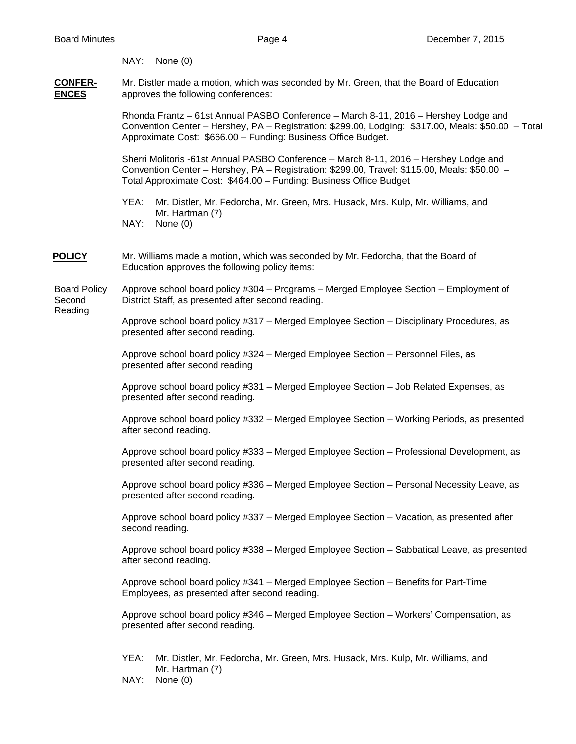NAY: None (0)

**CONFER-** Mr. Distler made a motion, which was seconded by Mr. Green, that the Board of Education **ENCES** approves the following conferences:

> Rhonda Frantz – 61st Annual PASBO Conference – March 8-11, 2016 – Hershey Lodge and Convention Center – Hershey, PA – Registration: \$299.00, Lodging: \$317.00, Meals: \$50.00 – Total Approximate Cost: \$666.00 – Funding: Business Office Budget.

Sherri Molitoris -61st Annual PASBO Conference – March 8-11, 2016 – Hershey Lodge and Convention Center – Hershey, PA – Registration: \$299.00, Travel: \$115.00, Meals: \$50.00 – Total Approximate Cost: \$464.00 – Funding: Business Office Budget

 YEA: Mr. Distler, Mr. Fedorcha, Mr. Green, Mrs. Husack, Mrs. Kulp, Mr. Williams, and Mr. Hartman (7)

NAY: None (0)

**POLICY** Mr. Williams made a motion, which was seconded by Mr. Fedorcha, that the Board of Education approves the following policy items:

Board Policy Approve school board policy #304 – Programs – Merged Employee Section – Employment of Second District Staff, as presented after second reading.

Reading

 Approve school board policy #317 – Merged Employee Section – Disciplinary Procedures, as presented after second reading.

 Approve school board policy #324 – Merged Employee Section – Personnel Files, as presented after second reading

Approve school board policy #331 – Merged Employee Section – Job Related Expenses, as presented after second reading.

Approve school board policy #332 – Merged Employee Section – Working Periods, as presented after second reading.

 Approve school board policy #333 – Merged Employee Section – Professional Development, as presented after second reading.

 Approve school board policy #336 – Merged Employee Section – Personal Necessity Leave, as presented after second reading.

 Approve school board policy #337 – Merged Employee Section – Vacation, as presented after second reading.

Approve school board policy #338 – Merged Employee Section – Sabbatical Leave, as presented after second reading.

Approve school board policy #341 – Merged Employee Section – Benefits for Part-Time Employees, as presented after second reading.

Approve school board policy #346 – Merged Employee Section – Workers' Compensation, as presented after second reading.

- YEA: Mr. Distler, Mr. Fedorcha, Mr. Green, Mrs. Husack, Mrs. Kulp, Mr. Williams, and Mr. Hartman (7)
- NAY: None (0)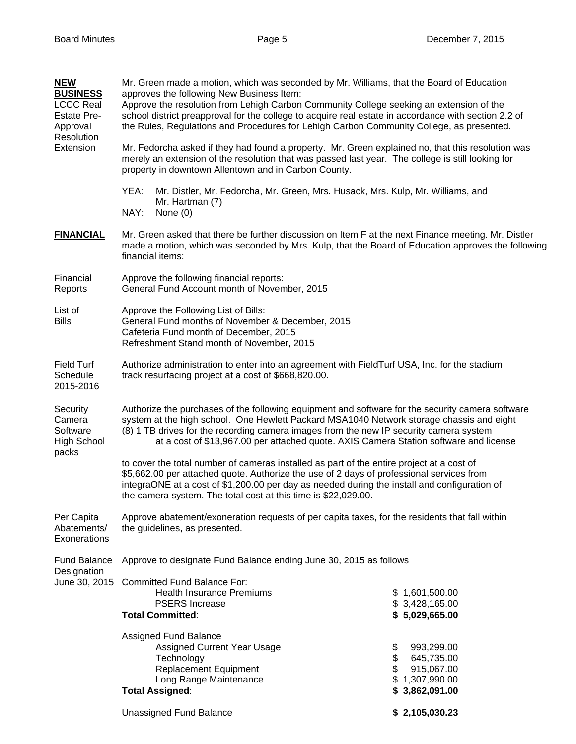| <b>NEW</b><br><b>BUSINESS</b><br><b>LCCC Real</b><br><b>Estate Pre-</b><br>Approval<br>Resolution<br>Extension | Mr. Green made a motion, which was seconded by Mr. Williams, that the Board of Education<br>approves the following New Business Item:<br>Approve the resolution from Lehigh Carbon Community College seeking an extension of the<br>school district preapproval for the college to acquire real estate in accordance with section 2.2 of<br>the Rules, Regulations and Procedures for Lehigh Carbon Community College, as presented.<br>Mr. Fedorcha asked if they had found a property. Mr. Green explained no, that this resolution was<br>merely an extension of the resolution that was passed last year. The college is still looking for<br>property in downtown Allentown and in Carbon County. |                                                                                              |  |  |
|----------------------------------------------------------------------------------------------------------------|--------------------------------------------------------------------------------------------------------------------------------------------------------------------------------------------------------------------------------------------------------------------------------------------------------------------------------------------------------------------------------------------------------------------------------------------------------------------------------------------------------------------------------------------------------------------------------------------------------------------------------------------------------------------------------------------------------|----------------------------------------------------------------------------------------------|--|--|
|                                                                                                                | YEA:<br>Mr. Distler, Mr. Fedorcha, Mr. Green, Mrs. Husack, Mrs. Kulp, Mr. Williams, and<br>Mr. Hartman (7)<br>NAY:<br>None $(0)$                                                                                                                                                                                                                                                                                                                                                                                                                                                                                                                                                                       |                                                                                              |  |  |
| <b>FINANCIAL</b>                                                                                               | Mr. Green asked that there be further discussion on Item F at the next Finance meeting. Mr. Distler<br>made a motion, which was seconded by Mrs. Kulp, that the Board of Education approves the following<br>financial items:                                                                                                                                                                                                                                                                                                                                                                                                                                                                          |                                                                                              |  |  |
| Financial<br>Reports                                                                                           | Approve the following financial reports:<br>General Fund Account month of November, 2015                                                                                                                                                                                                                                                                                                                                                                                                                                                                                                                                                                                                               |                                                                                              |  |  |
| List of<br><b>Bills</b>                                                                                        | Approve the Following List of Bills:<br>General Fund months of November & December, 2015<br>Cafeteria Fund month of December, 2015<br>Refreshment Stand month of November, 2015                                                                                                                                                                                                                                                                                                                                                                                                                                                                                                                        |                                                                                              |  |  |
| <b>Field Turf</b><br>Schedule<br>2015-2016                                                                     | Authorize administration to enter into an agreement with FieldTurf USA, Inc. for the stadium<br>track resurfacing project at a cost of \$668,820.00.                                                                                                                                                                                                                                                                                                                                                                                                                                                                                                                                                   |                                                                                              |  |  |
| Security<br>Camera<br>Software<br><b>High School</b><br>packs                                                  | Authorize the purchases of the following equipment and software for the security camera software<br>system at the high school. One Hewlett Packard MSA1040 Network storage chassis and eight<br>(8) 1 TB drives for the recording camera images from the new IP security camera system<br>at a cost of \$13,967.00 per attached quote. AXIS Camera Station software and license                                                                                                                                                                                                                                                                                                                        |                                                                                              |  |  |
|                                                                                                                | to cover the total number of cameras installed as part of the entire project at a cost of<br>\$5,662.00 per attached quote. Authorize the use of 2 days of professional services from<br>integraONE at a cost of \$1,200.00 per day as needed during the install and configuration of<br>the camera system. The total cost at this time is \$22,029.00.                                                                                                                                                                                                                                                                                                                                                |                                                                                              |  |  |
| Per Capita<br>Abatements/<br>Exonerations                                                                      | Approve abatement/exoneration requests of per capita taxes, for the residents that fall within<br>the guidelines, as presented.                                                                                                                                                                                                                                                                                                                                                                                                                                                                                                                                                                        |                                                                                              |  |  |
| Fund Balance<br>Designation                                                                                    | Approve to designate Fund Balance ending June 30, 2015 as follows                                                                                                                                                                                                                                                                                                                                                                                                                                                                                                                                                                                                                                      |                                                                                              |  |  |
|                                                                                                                | June 30, 2015 Committed Fund Balance For:<br><b>Health Insurance Premiums</b><br><b>PSERS Increase</b><br><b>Total Committed:</b>                                                                                                                                                                                                                                                                                                                                                                                                                                                                                                                                                                      | \$1,601,500.00<br>\$3,428,165.00<br>\$5,029,665.00                                           |  |  |
|                                                                                                                | Assigned Fund Balance<br>Assigned Current Year Usage<br>Technology<br><b>Replacement Equipment</b><br>Long Range Maintenance<br><b>Total Assigned:</b>                                                                                                                                                                                                                                                                                                                                                                                                                                                                                                                                                 | 993,299.00<br>\$<br>\$<br>645,735.00<br>\$<br>915,067.00<br>\$1,307,990.00<br>\$3,862,091.00 |  |  |
|                                                                                                                | <b>Unassigned Fund Balance</b>                                                                                                                                                                                                                                                                                                                                                                                                                                                                                                                                                                                                                                                                         | \$2,105,030.23                                                                               |  |  |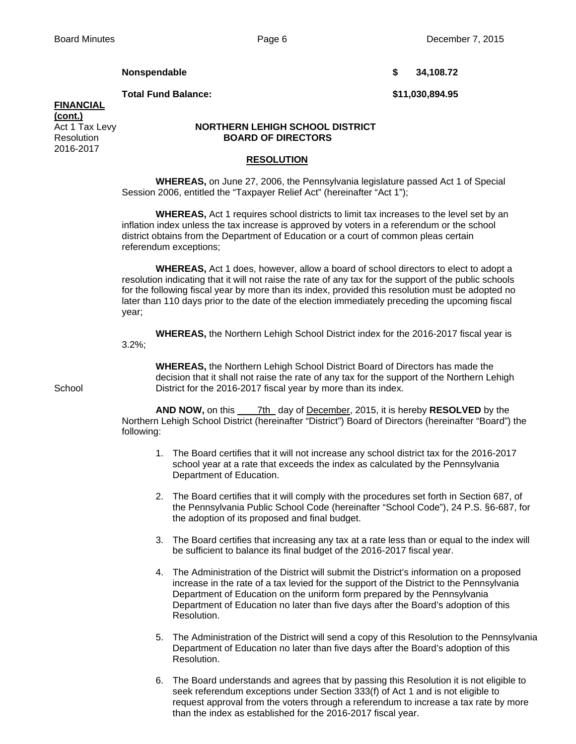**Nonspendable 5 34,108.72** 

**Total Fund Balance: \$11,030,894.95** 

# **FINANCIAL**

**(cont.)** 2016-2017

## Act 1 Tax Levy **NORTHERN LEHIGH SCHOOL DISTRICT**  Resolution **BOARD OF DIRECTORS**

## **RESOLUTION**

 **WHEREAS,** on June 27, 2006, the Pennsylvania legislature passed Act 1 of Special Session 2006, entitled the "Taxpayer Relief Act" (hereinafter "Act 1");

 **WHEREAS,** Act 1 requires school districts to limit tax increases to the level set by an inflation index unless the tax increase is approved by voters in a referendum or the school district obtains from the Department of Education or a court of common pleas certain referendum exceptions;

 **WHEREAS,** Act 1 does, however, allow a board of school directors to elect to adopt a resolution indicating that it will not raise the rate of any tax for the support of the public schools for the following fiscal year by more than its index, provided this resolution must be adopted no later than 110 days prior to the date of the election immediately preceding the upcoming fiscal year;

**WHEREAS,** the Northern Lehigh School District index for the 2016-2017 fiscal year is

3.2%;

 **WHEREAS,** the Northern Lehigh School District Board of Directors has made the decision that it shall not raise the rate of any tax for the support of the Northern Lehigh School **District for the 2016-2017 fiscal year by more than its index.** 

> **AND NOW,** on this 7th day of December, 2015, it is hereby **RESOLVED** by the Northern Lehigh School District (hereinafter "District") Board of Directors (hereinafter "Board") the following:

- 1. The Board certifies that it will not increase any school district tax for the 2016-2017 school year at a rate that exceeds the index as calculated by the Pennsylvania Department of Education.
- 2. The Board certifies that it will comply with the procedures set forth in Section 687, of the Pennsylvania Public School Code (hereinafter "School Code"), 24 P.S. §6-687, for the adoption of its proposed and final budget.
- 3. The Board certifies that increasing any tax at a rate less than or equal to the index will be sufficient to balance its final budget of the 2016-2017 fiscal year.
- 4. The Administration of the District will submit the District's information on a proposed increase in the rate of a tax levied for the support of the District to the Pennsylvania Department of Education on the uniform form prepared by the Pennsylvania Department of Education no later than five days after the Board's adoption of this Resolution.
- 5. The Administration of the District will send a copy of this Resolution to the Pennsylvania Department of Education no later than five days after the Board's adoption of this Resolution.
- 6. The Board understands and agrees that by passing this Resolution it is not eligible to seek referendum exceptions under Section 333(f) of Act 1 and is not eligible to request approval from the voters through a referendum to increase a tax rate by more than the index as established for the 2016-2017 fiscal year.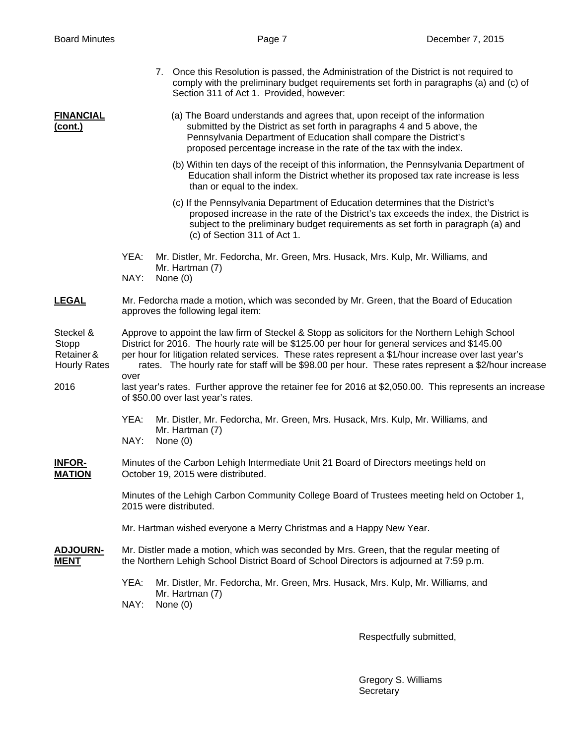|                                                         | 7. Once this Resolution is passed, the Administration of the District is not required to<br>comply with the preliminary budget requirements set forth in paragraphs (a) and (c) of<br>Section 311 of Act 1. Provided, however:                                                                                                                                                                                            |  |  |  |
|---------------------------------------------------------|---------------------------------------------------------------------------------------------------------------------------------------------------------------------------------------------------------------------------------------------------------------------------------------------------------------------------------------------------------------------------------------------------------------------------|--|--|--|
| <b>FINANCIAL</b><br><u>(cont.)</u>                      | (a) The Board understands and agrees that, upon receipt of the information<br>submitted by the District as set forth in paragraphs 4 and 5 above, the<br>Pennsylvania Department of Education shall compare the District's<br>proposed percentage increase in the rate of the tax with the index.                                                                                                                         |  |  |  |
|                                                         | (b) Within ten days of the receipt of this information, the Pennsylvania Department of<br>Education shall inform the District whether its proposed tax rate increase is less<br>than or equal to the index.                                                                                                                                                                                                               |  |  |  |
|                                                         | (c) If the Pennsylvania Department of Education determines that the District's<br>proposed increase in the rate of the District's tax exceeds the index, the District is<br>subject to the preliminary budget requirements as set forth in paragraph (a) and<br>(c) of Section 311 of Act 1.                                                                                                                              |  |  |  |
|                                                         | YEA:<br>Mr. Distler, Mr. Fedorcha, Mr. Green, Mrs. Husack, Mrs. Kulp, Mr. Williams, and<br>Mr. Hartman (7)<br>NAY:<br>None (0)                                                                                                                                                                                                                                                                                            |  |  |  |
| <b>LEGAL</b>                                            | Mr. Fedorcha made a motion, which was seconded by Mr. Green, that the Board of Education<br>approves the following legal item:                                                                                                                                                                                                                                                                                            |  |  |  |
| Steckel &<br>Stopp<br>Retainer &<br><b>Hourly Rates</b> | Approve to appoint the law firm of Steckel & Stopp as solicitors for the Northern Lehigh School<br>District for 2016. The hourly rate will be \$125.00 per hour for general services and \$145.00<br>per hour for litigation related services. These rates represent a \$1/hour increase over last year's<br>rates. The hourly rate for staff will be \$98.00 per hour. These rates represent a \$2/hour increase<br>over |  |  |  |
| 2016                                                    | last year's rates. Further approve the retainer fee for 2016 at \$2,050.00. This represents an increase<br>of \$50.00 over last year's rates.                                                                                                                                                                                                                                                                             |  |  |  |
|                                                         | YEA:<br>Mr. Distler, Mr. Fedorcha, Mr. Green, Mrs. Husack, Mrs. Kulp, Mr. Williams, and<br>Mr. Hartman (7)<br>NAY:<br>None $(0)$                                                                                                                                                                                                                                                                                          |  |  |  |
| <b>INFOR-</b><br><b>MATION</b>                          | Minutes of the Carbon Lehigh Intermediate Unit 21 Board of Directors meetings held on<br>October 19, 2015 were distributed.                                                                                                                                                                                                                                                                                               |  |  |  |
|                                                         | Minutes of the Lehigh Carbon Community College Board of Trustees meeting held on October 1,<br>2015 were distributed.                                                                                                                                                                                                                                                                                                     |  |  |  |
|                                                         | Mr. Hartman wished everyone a Merry Christmas and a Happy New Year.                                                                                                                                                                                                                                                                                                                                                       |  |  |  |
| <b>ADJOURN-</b><br><b>MENT</b>                          | Mr. Distler made a motion, which was seconded by Mrs. Green, that the regular meeting of<br>the Northern Lehigh School District Board of School Directors is adjourned at 7:59 p.m.                                                                                                                                                                                                                                       |  |  |  |
|                                                         | YEA:<br>Mr. Distler, Mr. Fedorcha, Mr. Green, Mrs. Husack, Mrs. Kulp, Mr. Williams, and<br>Mr. Hartman (7)<br>NAY:<br>None $(0)$                                                                                                                                                                                                                                                                                          |  |  |  |

Respectfully submitted,

 Gregory S. Williams Secretary and the contract of the contract of the Secretary Secretary